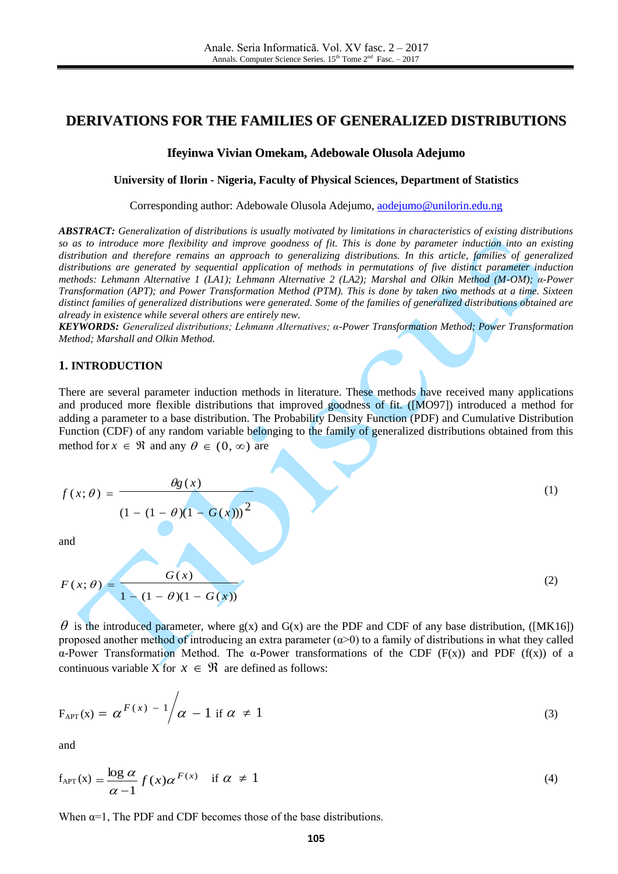# **DERIVATIONS FOR THE FAMILIES OF GENERALIZED DISTRIBUTIONS**

#### **Ifeyinwa Vivian Omekam, Adebowale Olusola Adejumo**

**University of Ilorin - Nigeria, Faculty of Physical Sciences, Department of Statistics**

Corresponding author: Adebowale Olusola Adejumo, [aodejumo@unilorin.edu.ng](mailto:aodejumo@unilorin.edu.ng)

*ABSTRACT: Generalization of distributions is usually motivated by limitations in characteristics of existing distributions so as to introduce more flexibility and improve goodness of fit. This is done by parameter induction into an existing distribution and therefore remains an approach to generalizing distributions. In this article, families of generalized distributions are generated by sequential application of methods in permutations of five distinct parameter induction methods: Lehmann Alternative 1 (LA1); Lehmann Alternative 2 (LA2); Marshal and Olkin Method (M-OM); α-Power Transformation (APT); and Power Transformation Method (PTM). This is done by taken two methods at a time. Sixteen distinct families of generalized distributions were generated. Some of the families of generalized distributions obtained are already in existence while several others are entirely new.*

*KEYWORDS: Generalized distributions; Lehmann Alternatives; α-Power Transformation Method; Power Transformation Method; Marshall and Olkin Method.*

#### **1. INTRODUCTION**

There are several parameter induction methods in literature. These methods have received many applications and produced more flexible distributions that improved goodness of fit. ([MO97]) introduced a method for adding a parameter to a base distribution. The Probability Density Function (PDF) and Cumulative Distribution Function (CDF) of any random variable belonging to the family of generalized distributions obtained from this method for  $x \in \mathcal{R}$  and any  $\theta \in (0, \infty)$  are

$$
f(x; \theta) = \frac{\theta g(x)}{(1 - (1 - \theta)(1 - G(x)))^2}
$$
  
and  

$$
F(x; \theta) = \frac{G(x)}{(2)}
$$
 (2)

$$
F(x; \theta) = \frac{G(x)}{1 - (1 - \theta)(1 - G(x))}
$$
 (2)

 $\theta$  is the introduced parameter, where g(x) and G(x) are the PDF and CDF of any base distribution, ([MK16]) proposed another method of introducing an extra parameter  $(\alpha > 0)$  to a family of distributions in what they called α-Power Transformation Method. The α-Power transformations of the CDF (F(x)) and PDF (f(x)) of a continuous variable X for  $x \in \Re$  are defined as follows:

$$
F_{\text{APT}}(x) = \alpha^{F(x) - 1} / \alpha - 1 \text{ if } \alpha \neq 1
$$
 (3)

and

$$
f_{\text{APT}}(x) = \frac{\log \alpha}{\alpha - 1} f(x) \alpha^{F(x)} \quad \text{if } \alpha \neq 1
$$
 (4)

When  $\alpha=1$ , The PDF and CDF becomes those of the base distributions.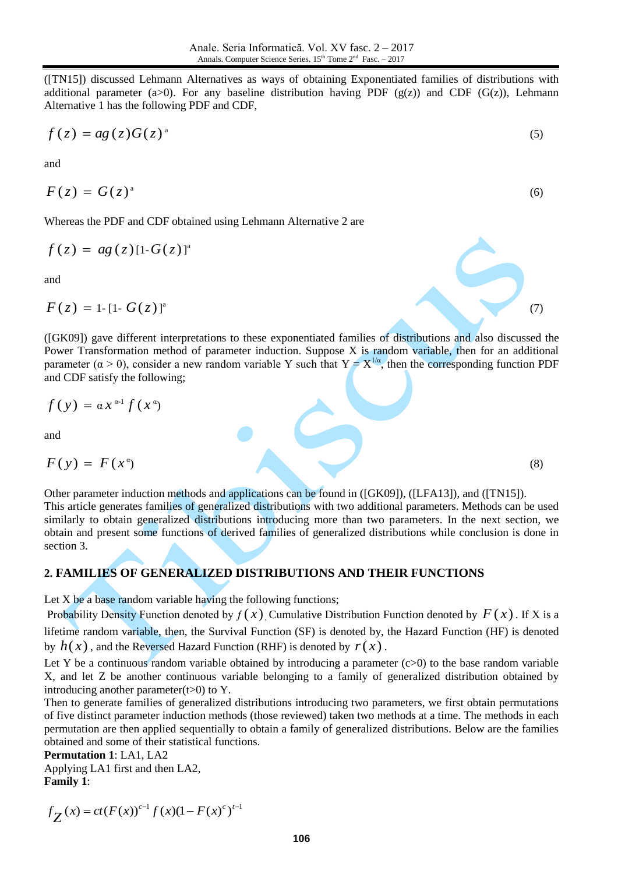([TN15]) discussed Lehmann Alternatives as ways of obtaining Exponentiated families of distributions with additional parameter (a>0). For any baseline distribution having PDF ( $g(z)$ ) and CDF ( $G(z)$ ), Lehmann Alternative 1 has the following PDF and CDF,

$$
f(z) = ag(z)G(z)^{a}
$$
\n<sup>(5)</sup>

and

$$
F(z) = G(z)^{a}
$$

Whereas the PDF and CDF obtained using Lehmann Alternative 2 are

$$
f(z) = ag(z)[1-G(z)]^{\mathrm{a}}
$$

and

$$
F(z) = 1 - [1 - G(z)]^a
$$

([GK09]) gave different interpretations to these exponentiated families of distributions and also discussed the Power Transformation method of parameter induction. Suppose X is random variable, then for an additional parameter ( $\alpha > 0$ ), consider a new random variable Y such that  $Y = X^{1/\alpha}$ , then the corresponding function PDF and CDF satisfy the following;

$$
f(y) = \alpha x^{\alpha-1} f(x^{\alpha})
$$

and

$$
F(y) = F(x^{\alpha})
$$

Other parameter induction methods and applications can be found in ([GK09]), ([LFA13]), and ([TN15]). This article generates families of generalized distributions with two additional parameters. Methods can be used similarly to obtain generalized distributions introducing more than two parameters. In the next section, we obtain and present some functions of derived families of generalized distributions while conclusion is done in section 3.

## **2. FAMILIES OF GENERALIZED DISTRIBUTIONS AND THEIR FUNCTIONS**

Let  $X$  be a base random variable having the following functions;

Probability Density Function denoted by  $f(x)$ , Cumulative Distribution Function denoted by  $F(x)$ . If X is a lifetime random variable, then, the Survival Function (SF) is denoted by, the Hazard Function (HF) is denoted by  $h(x)$ , and the Reversed Hazard Function (RHF) is denoted by  $r(x)$ .

Let Y be a continuous random variable obtained by introducing a parameter  $(c>0)$  to the base random variable X, and let Z be another continuous variable belonging to a family of generalized distribution obtained by introducing another parameter $(t>0)$  to Y.

Then to generate families of generalized distributions introducing two parameters, we first obtain permutations of five distinct parameter induction methods (those reviewed) taken two methods at a time. The methods in each permutation are then applied sequentially to obtain a family of generalized distributions. Below are the families obtained and some of their statistical functions.

**Permutation 1**: LA1, LA2

Applying LA1 first and then LA2, **Family 1**:

$$
f_{Z}(x) = ct(F(x))^{c-1} f(x)(1 - F(x)^{c})^{t-1}
$$

 $\alpha$  (7)

 $(8)$ 

(6)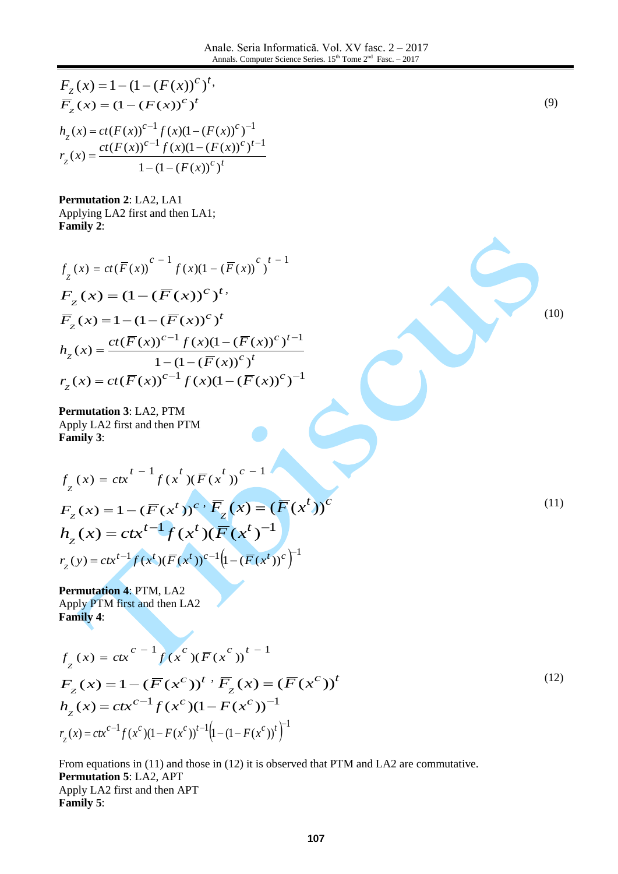$$
F_{Z}(x) = 1 - (1 - (F(x))^{c})^{t}
$$
\n
$$
F_{Z}(x) = (1 - (F(x))^{c-1}f(x)(1 - (F(x))^{c})^{t}
$$
\n
$$
h_{Z}(x) = ct(F(x))^{c-1}f(x)(1 - (F(x))^{c})^{t-1}
$$
\n
$$
r_{Z}(x) = \frac{ct(F(x))^{c-1}f(x)(1 - (F(x))^{c})^{t-1}}{1 - (1 - (F(x))^{c})^{t}}
$$
\nPermutation 2: LA2, LA1  
\nApplying LA2 first and then LA1;  
\nFamily 2:  
\n
$$
f_{Z}(x) = ct(F(x))^{c-1}f(x)(1 - (F(x))^{c})^{t-1}
$$
\n
$$
F_{Z}(x) = 1 - (1 - (F(x))^{c})^{t}
$$
\n
$$
h_{Z}(x) = \frac{ct(F(x))^{c-1}f(x)(1 - (F(x))^{c})^{t-1}}{1 - (1 - (F(x))^{c})^{t}}
$$
\nPermutation 3: LA2, PTM  
\nApply 1.4.2 first and then PTM  
\nApply 3:  
\n
$$
f_{Z}(x) = ctx^{t-1}f(x^{t})(F(x^{t}))^{c-1}
$$
\n
$$
F_{Z}(x) = 1 - (F(x^{t}))^{c} \cdot \overline{F}_{Z}(x) = (F(x^{t}))^{c}
$$
\n
$$
h_{Z}(x) = ctx^{t-1}f(x^{t})(F(x^{t}))^{-1}
$$
\n
$$
r_{Z}(y) = ctx^{t-1}f(x^{t})(F(x^{t}))^{-1}
$$
\n
$$
r_{Z}(y) = ctx^{t-1}f(x^{t})(F(x^{t}))^{-1}
$$
\nPermutation 4: PTM, LA2  
\nApply PTM first and then LA2  
\nFamily 4:  
\n
$$
f_{Z}(x) = ctx^{c-1}f(x^{c})(F(x^{c}))^{t-1}
$$
\n
$$
r_{Z}(x) = 1 - (F(x^{c}))^{t} \cdot \overline{F}_{Z}(x) = (F(x^{c}))^{t}
$$
\n
$$
F_{Z}(x) = 1 - (F(x^{c})^{t})^{t} \cdot \overline{F}_{Z}(x) = (F(x^{c}))^{t}
$$
\n(12)

$$
h_{Z}(x) = ctx^{c-1} f(x^{c})(1 - F(x^{c}))^{-1}
$$
  

$$
r_{Z}(x) = ctx^{c-1} f(x^{c})(1 - F(x^{c}))^{t-1}(1 - (1 - F(x^{c}))^{t})^{-1}
$$

From equations in (11) and those in (12) it is observed that PTM and LA2 are commutative. **Permutation 5**: LA2, APT Apply LA2 first and then APT **Family 5**: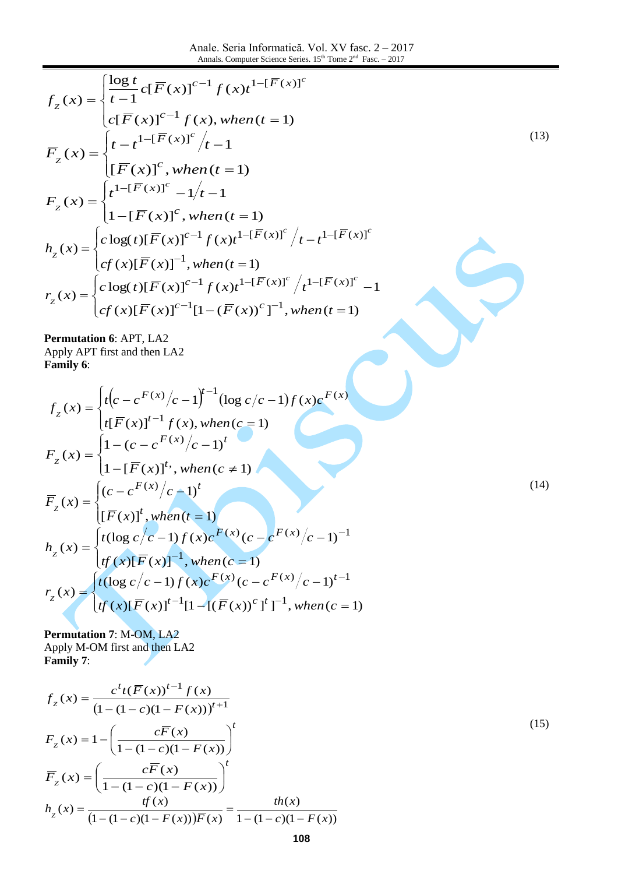Anale. Seria Informatică. Vol. XV fasc. 2 – 2017 Annals. Computer Science Series.  $15<sup>th</sup>$  Tome  $2<sup>nd</sup>$  Fasc. – 2017

$$
f_{z}(x) = \begin{cases} \frac{\log t}{t-1} c[\overline{F}(x)]^{c-1} f(x) t^{1-[\overline{F}(x)]^{c}} \\ c[\overline{F}(x)]^{c-1} f(x), when (t = 1) \end{cases}
$$
  
\n
$$
\overline{F}_{z}(x) = \begin{cases} t - t^{1-[\overline{F}(x)]^{c}} / t - 1 \\ [\overline{F}(x)]^{c}, when (t = 1) \end{cases}
$$
  
\n
$$
F_{z}(x) = \begin{cases} t^{1-[\overline{F}(x)]^{c}} - 1/t - 1 \\ 1 - [\overline{F}(x)]^{c}, when (t = 1) \end{cases}
$$
  
\n
$$
h_{z}(x) = \begin{cases} c \log(t) [\overline{F}(x)]^{c-1} f(x) t^{1-[\overline{F}(x)]^{c}} / t - t^{1-[\overline{F}(x)]^{c}} \\ cf(x) [\overline{F}(x)]^{-1}, when (t = 1) \end{cases}
$$
  
\n
$$
r_{z}(x) = \begin{cases} c \log(t) [\overline{F}(x)]^{c-1} f(x) t^{1-[\overline{F}(x)]^{c}} / t^{1-[\overline{F}(x)]^{c}} - 1 \\ cf(x) [\overline{F}(x)]^{c-1} [1 - (\overline{F}(x))^{c}]^{-1}, when (t = 1) \end{cases}
$$
  
\n
$$
P_{z}(x) = \begin{cases} c \log(t) [\overline{F}(x)]^{c-1} [1 - (\overline{F}(x))^{c}]^{-1}, when (t = 1) \end{cases}
$$

**Permutation 6**: APT, LA2 Apply APT first and then LA2 **Family 6**:

$$
f_{z}(x) = \begin{cases} t(c - c^{F(x)}/c - 1)^{t-1} (\log c/c - 1) f(x) c^{F(x)} \\ t(\overline{F}(x))^{t-1} f(x), \text{ when } (c = 1) \end{cases}
$$
  
\n
$$
F_{z}(x) = \begin{cases} 1 - (c - c^{F(x)}/c - 1)^{t} \\ 1 - [\overline{F}(x)]^{t}, \text{ when } (c \neq 1) \end{cases}
$$
  
\n
$$
\overline{F}_{z}(x) = \begin{cases} (c - c^{F(x)}/c - 1)^{t} \\ [\overline{F}(x)]^{t}, \text{ when } (t = 1) \end{cases}
$$
  
\n
$$
h_{z}(x) = \begin{cases} t(\log c/c - 1) f(x) c^{F(x)} (c - c^{F(x)}/c - 1)^{-1} \\ tf(x)[\overline{F}(x)]^{-1}, \text{ when } (c = 1) \end{cases}
$$
  
\n
$$
r_{z}(x) = \begin{cases} t(\log c/c - 1) f(x) c^{F(x)} (c - c^{F(x)}/c - 1)^{t-1} \\ tf(x)[\overline{F}(x)]^{t-1} [1 - [(\overline{F}(x))^{c}]^{t}]^{-1}, \text{ when } (c = 1) \end{cases}
$$
  
\n(14)

**Permutation 7**: M-OM, LA2 Apply M-OM first and then LA2 **Family 7**:

$$
f_{z}(x) = \frac{c^{t}t(\overline{F}(x))^{t-1} f(x)}{(1 - (1 - c)(1 - F(x)))^{t+1}}
$$
  
\n
$$
F_{z}(x) = 1 - \left(\frac{c\overline{F}(x)}{1 - (1 - c)(1 - F(x))}\right)^{t}
$$
  
\n
$$
\overline{F}_{z}(x) = \left(\frac{c\overline{F}(x)}{1 - (1 - c)(1 - F(x))}\right)^{t}
$$
  
\n
$$
h_{z}(x) = \frac{tf(x)}{(1 - (1 - c)(1 - F(x)))\overline{F}(x)} = \frac{th(x)}{1 - (1 - c)(1 - F(x))}
$$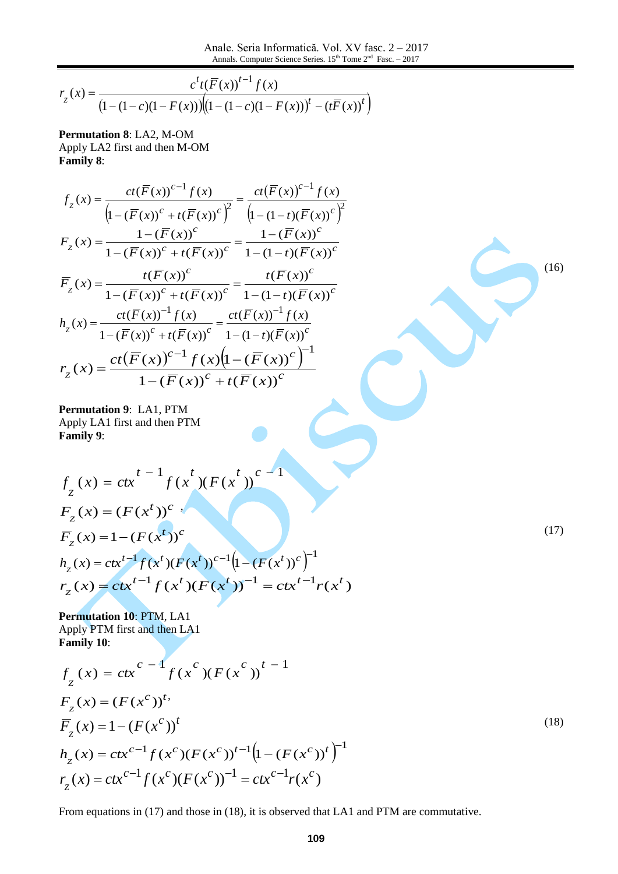$$
r_{Z}(x) = \frac{c^{t}t(\overline{F}(x))^{t-1} f(x)}{(1 - (1 - c)(1 - F(x)))\left(\left(1 - (1 - c)(1 - F(x))\right)^{t} - (t\overline{F}(x))^{t}\right)}
$$

**Permutation 8**: LA2, M-OM Apply LA2 first and then M-OM **Family 8**:

$$
f_{z}(x) = \frac{ct(\overline{F}(x))^{c-1} f(x)}{\left(1 - (\overline{F}(x))^{c} + t(\overline{F}(x))^{c}\right)^{2}} = \frac{ct(\overline{F}(x))^{c-1} f(x)}{\left(1 - (1 - t)(\overline{F}(x))^{c}\right)^{2}}
$$

$$
F_{z}(x) = \frac{1 - (\overline{F}(x))^{c}}{1 - (\overline{F}(x))^{c} + t(\overline{F}(x))^{c}} = \frac{1 - (\overline{F}(x))^{c}}{1 - (1 - t)(\overline{F}(x))^{c}}
$$

$$
\overline{F}_{z}(x) = \frac{t(\overline{F}(x))^{c}}{1 - (\overline{F}(x))^{c} + t(\overline{F}(x))^{c}} = \frac{t(\overline{F}(x))^{c}}{1 - (1 - t)(\overline{F}(x))^{c}}
$$

$$
h_{z}(x) = \frac{ct(\overline{F}(x))^{-1} f(x)}{1 - (\overline{F}(x))^{c} + t(\overline{F}(x))^{c}} = \frac{ct(\overline{F}(x))^{-1} f(x)}{1 - (1 - t)(\overline{F}(x))^{c}}
$$

$$
r_{z}(x) = \frac{ct(\overline{F}(x))^{c-1} f(x) \left(1 - (\overline{F}(x))^{c}\right)^{-1}}{1 - (\overline{F}(x))^{c} + t(\overline{F}(x))^{c}}
$$

**Permutation 9**: LA1, PTM Apply LA1 first and then PTM **Family 9**:

$$
f_{Z}(x) = ctx^{t-1} f(x^{t})(F(x^{t}))^{c-1}
$$
  
\n
$$
F_{Z}(x) = (F(x^{t}))^{c}
$$
  
\n
$$
\overline{F}_{Z}(x) = 1 - (F(x^{t}))^{c}
$$
  
\n
$$
h_{Z}(x) = ctx^{t-1} f(x^{t})(F(x^{t}))^{c-1}(1 - (F(x^{t}))^{c})^{-1}
$$
  
\n
$$
r_{Z}(x) = ctx^{t-1} f(x^{t})(F(x^{t}))^{-1} = ctx^{t-1} r(x^{t})
$$

(17)

(16)

**Permutation 10**: PTM, LA1 Apply PTM first and then LA1 **Family 10**:

$$
f_{Z}(x) = ctx^{c-1} f(x^{c})(F(x^{c}))^{t-1}
$$
  
\n
$$
F_{Z}(x) = (F(x^{c}))^{t},
$$
  
\n
$$
\overline{F}_{Z}(x) = 1 - (F(x^{c}))^{t}
$$
  
\n
$$
h_{Z}(x) = ctx^{c-1} f(x^{c})(F(x^{c}))^{t-1} (1 - (F(x^{c}))^{t})^{-1}
$$
  
\n
$$
r_{Z}(x) = ctx^{c-1} f(x^{c})(F(x^{c}))^{-1} = ctx^{c-1} r(x^{c})
$$
  
\n(18)

From equations in (17) and those in (18), it is observed that LA1 and PTM are commutative.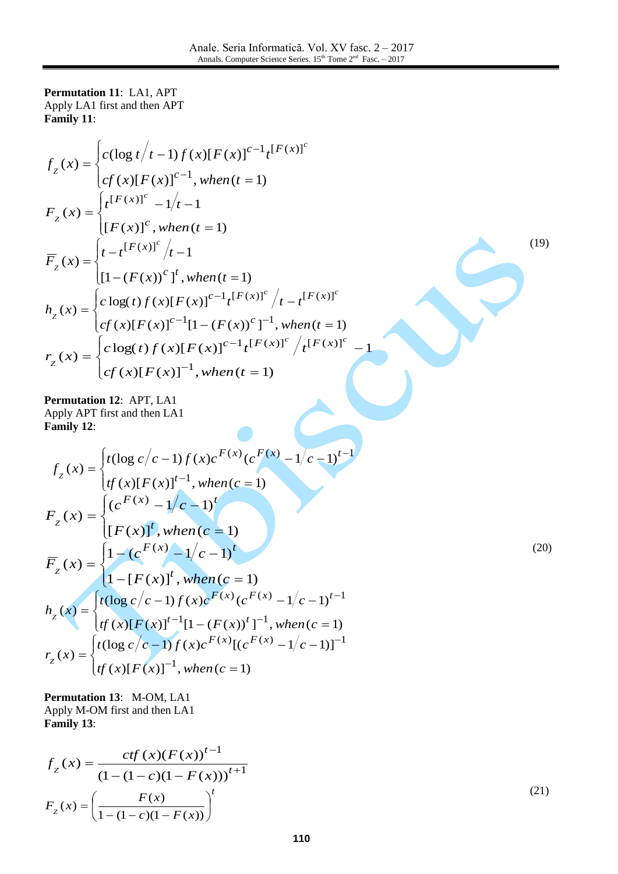**Permutation 11**: LA1, APT Apply LA1 first and then APT **Family 11**:

$$
f_{z}(x) = \begin{cases} c(\log t/t - 1) f(x)[F(x)]^{c-1}t^{[F(x)]^{c}} \\ cf(x)[F(x)]^{c-1}, when(t = 1) \end{cases}
$$
  
\n
$$
F_{z}(x) = \begin{cases} t^{[F(x)]^{c}} - 1/t - 1 \\ [F(x)]^{c}, when(t = 1) \end{cases}
$$
  
\n
$$
\overline{F}_{z}(x) = \begin{cases} t - t^{[F(x)]^{c}}/t - 1 \\ [1 - (F(x))^{c}]^{t}, when(t = 1) \end{cases}
$$
  
\n
$$
h_{z}(x) = \begin{cases} c \log(t) f(x)[F(x)]^{c-1}t^{[F(x)]^{c}}/t - t^{[F(x)]^{c}} \\ cf(x)[F(x)]^{c-1}[1 - (F(x))^{c}]^{-1}, when(t = 1) \end{cases}
$$
  
\n
$$
r_{z}(x) = \begin{cases} c \log(t) f(x)[F(x)]^{-1}, when(t = 1) \\ cf(x)[F(x)]^{-1}, when(t = 1) \end{cases}
$$
  
\nPermutation 12: APT, LA1  
\nApply APT first and then LA1  
\nFamily 12:  
\n
$$
f_{z}(x) = \begin{cases} t(\log c/c - 1)f(x)c^{F(x)}(c^{F(x)} - 1/c - 1)^{t-1} \\ tf(x)[F(x)]^{t-1}, when(c = 1) \end{cases}
$$
  
\n
$$
F_{z}(x) = \begin{cases} (c^{F(x)} - 1/c - 1)^{t} \\ [F(x)]^{t}, when(c = 1) \end{cases}
$$
  
\n
$$
\overline{F}_{z}(x) = \begin{cases} 1 - (c^{F(x)} - 1/c - 1)^{t} \\ 1 - (c^{F(x)} - 1/c - 1)^{t} \end{cases}
$$
  
\n(20)

**Permutation 13**: M-OM, LA1 Apply M-OM first and then LA1 **Family 13**:

 $=\begin{cases} \sqrt{(\cos c/c)^{2}} & \text{if } c \leq 1 \\ \sqrt{(\cos c/c)^{2}} & \text{if } c \leq 1 \end{cases}$ 

 $f(x) = \begin{cases} f(x)g(y) & y \ f(x)[F(y)]^{-1} & y \end{cases}$ 

 $\sqrt{1}$ 

 $\lfloor t \rfloor$ 

 $\lfloor t \rfloor$ 

 $\vert t$  $\left\{ \right.$  $\int_t$ 

 $\vert t \vert$  $\left\{ \right.$  $\bigg|_t$ 

*Z*

*Z*

 $r_{7}(x)$ 

*Z*

 $-[F(x)]^t$ , when(c =

 $=\begin{cases} \int_{t}^{t} \cos(t) e^{-t} dt \, dt = \int_{t}^{t} (t) [F(t)]^{t-1} [1 - (F(t))]^{t-1} dt \end{cases}$ 

 $(x)[F(x)]^{-1}$ , when  $(c = 1)$ 

 $f(x) = \begin{cases} f(x)[F(x)]^{t-1}[1-(F(x))]^{t-1} \\ f(x)[F(x)]^{t-1}[1-(F(x))]^{t-1} \end{cases}$ 

 $tf(x)[F(x)]^{-1}$ , when $(c \in$ 

 $h_z(x) = \begin{cases} t(\cos(e), e^{-ix}) & \text{if } i \neq 0 \\ t^f(x)[F(x)]^{t-1}[1 - (F(x))^t] \end{cases}$ 

 $1 - [F ( x )]^t$ , when  $(c = 1)$ 

 $F(x)$ <sup>t</sup>, when(c)

$$
f_{Z}(x) = \frac{ctf(x)(F(x))^{t-1}}{(1 - (1 - c)(1 - F(x)))^{t+1}}
$$
  
\n
$$
F_{Z}(x) = \left(\frac{F(x)}{1 - (1 - c)(1 - F(x))}\right)^{t}
$$
\n(21)

 $-(F(x))^{t}]^{-1}$ , when  $(c = 1)$ 

 $(x)$  ( $aF(x)$  1/ $a \neq 1$ )<sup>t-1</sup>

 $(x)_{\text{L}_c} F(x) = \frac{1}{2} \left( \frac{1}{2} \right)^{-1}$ 

 $F(x)$   $\int_{c} F(x) \frac{1}{x} dx$  1)

 $-1$ 

 $-1$ 

 $(-1)f(x)c^{F(x)}(c^{F(x)}-1/c-1)$ 

 $=1$ 

 $(-1)f(x)c^{F(x)}[(c^{F(x)}-1/c-1)]$ 

 $F(x)_{\text{FQ}} F(x)$ 

 $(x)[F(x)]^{t-1}[1-(F(x))^{t}]^{-1}$ , when  $(c = 1)$ 

 $(\log c/c - 1) f(x) c^{F(x)} (c^{F(x)} - 1/c - 1)^t$ 

 $(\log c/c - 1) f(x) c^{F(x)} [(c^{F(x)} - 1/c - 1)]$ 

 $tf(x)[F(x)]^{t-1}[1-(F(x))^{t}]^{-1}$ , when $(c$ 

 $t(\log c/c - 1)f(x)c^{F(x)}(c^{F(x)} - 1/c - 1)$ 

 $t(\log c/c - 1) f(x)c^{F(x)}[(c^{F(x)} - 1/c - 1)]$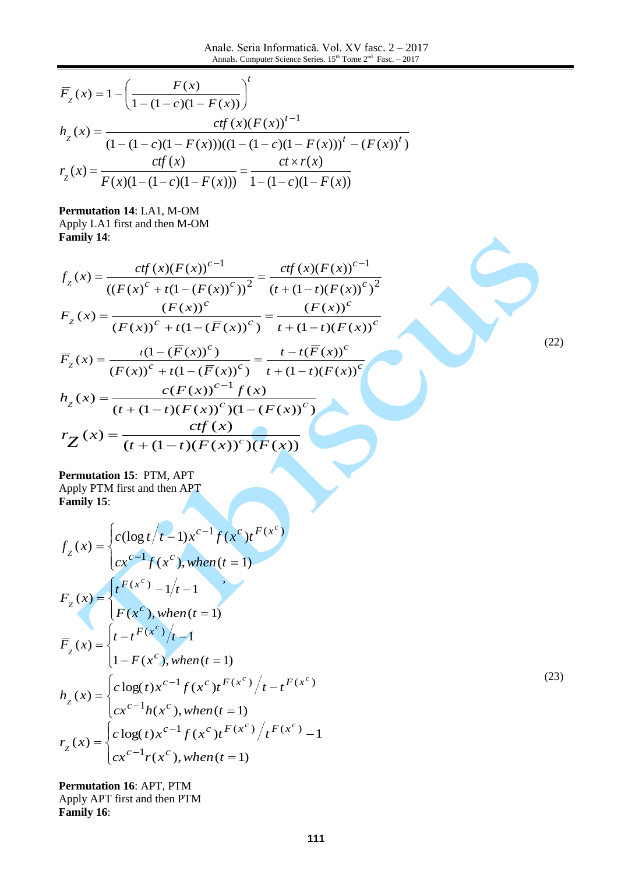$$
\overline{F}_z(x) = 1 - \left(\frac{F(x)}{1 - (1 - c)(1 - F(x))}\right)^t
$$
\n
$$
h_z(x) = \frac{ctf(x)(F(x))^{t-1}}{(1 - (1 - c)(1 - F(x)))(1 - (1 - c)(1 - F(x)))^t - (F(x))^t}
$$
\n
$$
r_z(x) = \frac{ctf(x)}{F(x)(1 - (1 - c)(1 - F(x)))} = \frac{ct \times r(x)}{1 - (1 - c)(1 - F(x))}
$$

**Permutation 14**: LA1, M-OM Apply LA1 first and then M-OM **Family 14**:

$$
f_{Z}(x) = \frac{ctf(x)(F(x))^{c-1}}{((F(x)^{c} + t(1 - (F(x))^{c}))^{2}} = \frac{ctf(x)(F(x))^{c-1}}{(t + (1 - t)(F(x))^{c})^{2}}
$$

$$
F_{Z}(x) = \frac{(F(x))^{c}}{(F(x))^{c} + t(1 - (\overline{F}(x))^{c})} = \frac{(F(x))^{c}}{t + (1 - t)(F(x))^{c}}
$$

$$
\overline{F}_{Z}(x) = \frac{t(1 - (\overline{F}(x))^{c})}{(F(x))^{c} + t(1 - (\overline{F}(x))^{c})} = \frac{t - t(\overline{F}(x))^{c}}{t + (1 - t)(F(x))^{c}}
$$

$$
h_{Z}(x) = \frac{c(F(x))^{c-1}f(x)}{(t + (1 - t)(F(x))^{c})(1 - (F(x))^{c})}
$$

$$
r_{Z}(x) = \frac{ctf(x)}{(t + (1 - t)(F(x))^{c})(F(x))}
$$

**Permutation 15**: PTM, APT Apply PTM first and then APT **Family 15**:

$$
f_{z}(x) = \begin{cases} c(\log t/t - 1)x^{c-1} f(x^{c})t^{F(x^{c})} \\ cx^{c-1} f(x^{c}), when (t = 1) \end{cases}
$$
  
\n
$$
F_{z}(x) = \begin{cases} t^{F(x^{c})} - 1/t - 1 \\ F(x^{c}), when (t = 1) \end{cases}
$$
  
\n
$$
\overline{F}_{z}(x) = \begin{cases} t - t^{F(x^{c})}/t - 1 \\ 1 - F(x^{c}), when (t = 1) \end{cases}
$$
  
\n
$$
h_{z}(x) = \begin{cases} c \log(t)x^{c-1} f(x^{c})t^{F(x^{c})} + t^{F(x^{c})} \\ cx^{c-1}h(x^{c}), when (t = 1) \end{cases}
$$
  
\n
$$
r_{z}(x) = \begin{cases} c \log(t)x^{c-1} f(x^{c})t^{F(x^{c})} + t^{F(x^{c})} - 1 \\ cx^{c-1}r(x^{c}), when (t = 1) \end{cases}
$$

**Permutation 16**: APT, PTM Apply APT first and then PTM **Family 16**:

(22)

(23)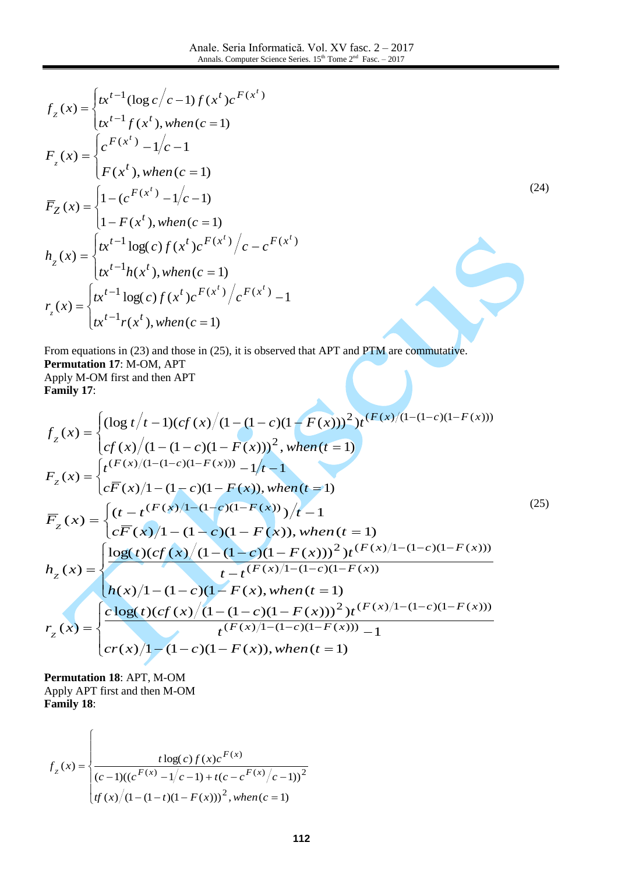(24)

$$
f_{z}(x) = \begin{cases} tx^{t-1}(\log c/c - 1) f(x^{t})c^{F(x^{t})} \\ tx^{t-1} f(x^{t}), when (c = 1) \end{cases}
$$
  
\n
$$
F_{z}(x) = \begin{cases} c^{F(x^{t})} - 1/c - 1 \\ F(x^{t}), when (c = 1) \end{cases}
$$
  
\n
$$
\overline{F}_{Z}(x) = \begin{cases} 1 - (c^{F(x^{t})} - 1/c - 1) \\ 1 - F(x^{t}), when (c = 1) \end{cases}
$$
  
\n
$$
h_{z}(x) = \begin{cases} tx^{t-1} \log(c) f(x^{t})c^{F(x^{t})}/c - c^{F(x^{t})} \\ tx^{t-1} h(x^{t}), when (c = 1) \end{cases}
$$
  
\n
$$
r_{z}(x) = \begin{cases} tx^{t-1} \log(c) f(x^{t})c^{F(x^{t})}/c^{F(x^{t})} - 1 \\ tx^{t-1} r(x^{t}), when (c = 1) \end{cases}
$$

From equations in (23) and those in (25), it is observed that APT and PTM are commutative. **Permutation 17**: M-OM, APT Apply M-OM first and then APT **Family 17**:

$$
f_{z}(x) = \begin{cases} (\log t/t - 1)(cf(x)/(1 - (1 - c)(1 - F(x)))^{2})t^{(F(x)/(1 - (1 - c)(1 - F(x)))} cf(x)/(1 - (1 - c)(1 - F(x)))^{2}, when (t = 1) \end{cases}
$$
  
\n
$$
F_{z}(x) = \begin{cases} t^{(F(x)/(1 - (1 - c)(1 - F(x)))} - 1/t - 1 \\ c\overline{F}(x)/1 - (1 - c)(1 - F(x)), when (t = 1) \end{cases}
$$
  
\n
$$
\overline{F}_{z}(x) = \begin{cases} (t - t^{(F(x)/1 - (1 - c)(1 - F(x)))}t/t - 1 \\ c\overline{F}(x)/1 - (1 - c)(1 - F(x)), when (t = 1) \end{cases}
$$
  
\n
$$
h_{z}(x) = \begin{cases} \log(t)(cf(x)/(1 - (1 - c)(1 - F(x)))^{2})t^{(F(x)/1 - (1 - c)(1 - F(x)))} \\ t - t^{(F(x)/1 - (1 - c)(1 - F(x)))} \\ h(x)/1 - (1 - c)(1 - F(x), when (t = 1) \end{cases}
$$
  
\n
$$
r_{z}(x) = \begin{cases} \frac{c \log(t)(cf(x)/(1 - (1 - c)(1 - F(x)))^{2})t^{(F(x)/1 - (1 - c)(1 - F(x)))}}{t^{(F(x)/1 - (1 - c)(1 - F(x)))} - 1} \\ c\overline{r(x)/1 - (1 - c)(1 - F(x)), when (t = 1) \end{cases}
$$

**Permutation 18**: APT, M-OM Apply APT first and then M-OM **Family 18**:

 $\sqrt{ }$ 

$$
f_z(x) = \begin{cases} \frac{t \log(c) f(x) c^{F(x)}}{(c-1)((c^{F(x)} - 1/c - 1) + t(c - c^{F(x)}/c - 1))^2} \\ \frac{f(x)}{(1 - (1 - t)(1 - F(x)))^2, \text{ when } (c = 1) \end{cases}
$$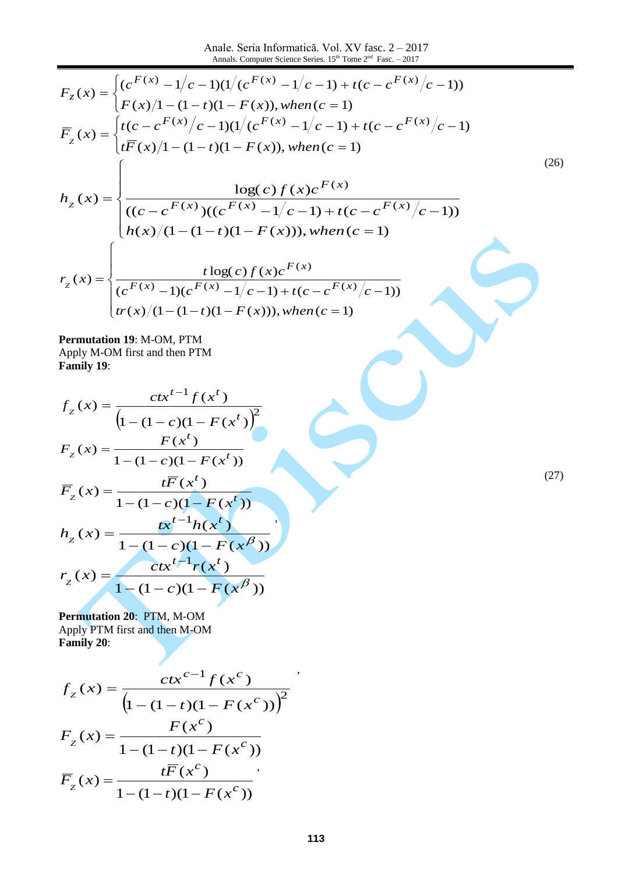Anale. Seria Informatică. Vol. XV fasc. 2 – 2017 Annals. Computer Science Series.  $15<sup>th</sup>$  Tome  $2<sup>nd</sup>$  Fasc. – 2017

$$
F_z(x) = \begin{cases} (c^{F(x)} - 1/c - 1)(1/(c^{F(x)} - 1/c - 1) + t(c - c^{F(x)}/c - 1)) \\ F(x)/1 - (1 - t)(1 - F(x)), when (c = 1) \end{cases}
$$
  
\n
$$
\overline{F}_z(x) = \begin{cases} t(c - c^{F(x)}/c - 1)(1/(c^{F(x)} - 1/c - 1) + t(c - c^{F(x)}/c - 1) \\ t\overline{F}(x)/1 - (1 - t)(1 - F(x)), when (c = 1) \end{cases}
$$
  
\n
$$
h_z(x) = \begin{cases} \frac{\log(c)f(x)c^{F(x)}}{\log(c)f(x)c^{F(x)}} \\ \frac{(c - c^{F(x)})(c^{F(x)} - 1/c - 1) + t(c - c^{F(x)}/c - 1))} \\ h(x)/(1 - (1 - t)(1 - F(x))), when (c = 1) \end{cases}
$$
  
\n
$$
r_z(x) = \begin{cases} \frac{t\log(c)f(x)c^{F(x)}}{\log(c)f(x)c^{F(x)}} \\ \frac{t\log(c)f(x)c^{F(x)}}{\log(c)(1 - (1 - t)(1 - F(x))), when (c = 1)} \end{cases}
$$

**Permutation 19**: M-OM, PTM Apply M-OM first and then PTM **Family 19**:

$$
f_{z}(x) = \frac{ctx^{t-1} f(x^{t})}{(1 - (1 - c)(1 - F(x^{t}))^{2}}
$$

$$
F_{z}(x) = \frac{F(x^{t})}{1 - (1 - c)(1 - F(x^{t}))}
$$

$$
\overline{F}_{z}(x) = \frac{t\overline{F}(x^{t})}{1 - (1 - c)(1 - F(x^{t}))}
$$

$$
h_{z}(x) = \frac{tx^{t-1}h(x^{t})}{1 - (1 - c)(1 - F(x^{t}))}
$$

$$
r_{z}(x) = \frac{ctx^{t-1}r(x^{t})}{1 - (1 - c)(1 - F(x^{t}))}
$$

(27)

**Permutation 20**: PTM, M-OM Apply PTM first and then M-OM **Family 20**:

$$
f_{z}(x) = \frac{ctx^{c-1}f(x^{c})}{(1 - (1 - t)(1 - F(x^{c})))^{2}}
$$

$$
F_{z}(x) = \frac{F(x^{c})}{1 - (1 - t)(1 - F(x^{c}))}
$$

$$
\overline{F}_{z}(x) = \frac{t\overline{F}(x^{c})}{1 - (1 - t)(1 - F(x^{c}))}
$$

,